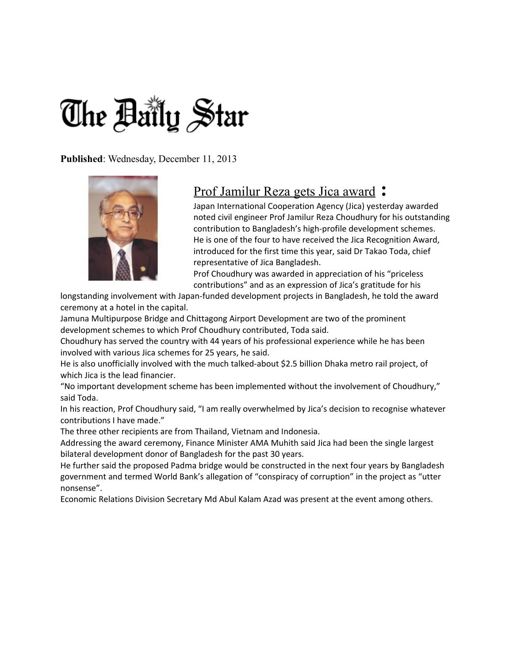## The Baily Star

**Published**: Wednesday, December 11, 2013



## [Prof Jamilur Reza gets Jica award](http://www.thedailystar.net/beta2/news/prof-jamilur-reza-gets-jica-award/) **:**

Japan International Cooperation Agency (Jica) yesterday awarded noted civil engineer Prof Jamilur Reza Choudhury for his outstanding contribution to Bangladesh's high-profile development schemes. He is one of the four to have received the Jica Recognition Award, introduced for the first time this year, said Dr Takao Toda, chief representative of Jica Bangladesh.

Prof Choudhury was awarded in appreciation of his "priceless contributions" and as an expression of Jica's gratitude for his

longstanding involvement with Japan-funded development projects in Bangladesh, he told the award ceremony at a hotel in the capital.

Jamuna Multipurpose Bridge and Chittagong Airport Development are two of the prominent development schemes to which Prof Choudhury contributed, Toda said.

Choudhury has served the country with 44 years of his professional experience while he has been involved with various Jica schemes for 25 years, he said.

He is also unofficially involved with the much talked-about \$2.5 billion Dhaka metro rail project, of which Jica is the lead financier.

"No important development scheme has been implemented without the involvement of Choudhury," said Toda.

In his reaction, Prof Choudhury said, "I am really overwhelmed by Jica's decision to recognise whatever contributions I have made."

The three other recipients are from Thailand, Vietnam and Indonesia.

Addressing the award ceremony, Finance Minister AMA Muhith said Jica had been the single largest bilateral development donor of Bangladesh for the past 30 years.

He further said the proposed Padma bridge would be constructed in the next four years by Bangladesh government and termed World Bank's allegation of "conspiracy of corruption" in the project as "utter nonsense".

Economic Relations Division Secretary Md Abul Kalam Azad was present at the event among others.